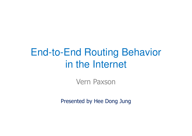#### End-to-End Routing Behavior in the Internet

Vern Paxson

Presented by Hee Dong Jung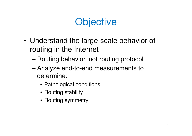# **Objective**

- • Understand the large-scale behavior of routing in the Internet
	- –Routing behavior, not routing protocol
	- –- Analyze end-to-end measurements to determine:
		- Pathological conditions
		- Routing stability
		- Routing symmetry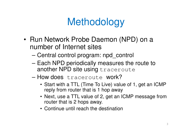# **Methodology**

- Run Network Probe Daemon (NPD) on a number of Internet sites
	- Central control program: npd\_control
	- Each NPD periodically measures the route to another NPD site using traceroute
	- How does traceroute work?
		- Start with a TTL (Time To Live) value of 1, get an ICMP reply from router that is 1 hop away
		- Next, use a TTL value of 2, get an ICMP message from router that is 2 hops away.
		- Continue until reach the destination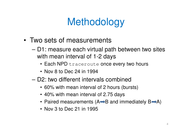# **Methodology**

- Two sets of measurements
	- D1: measure each virtual path between two sites with mean interval of 1-2 days
		- $\bullet\,$  Each NPD  $\texttt{traceoute}$  once every two hours
		- Nov 8 to Dec 24 in 1994
	- D2: two different intervals combined
		- 60% with mean interval of 2 hours (bursts)
		- 40% with mean interval of 2.75 days
		- Paired measurements (A $\Rightarrow$ B and immediately B $\Rightarrow$ A)
		- Nov 3 to Dec 21 in 1995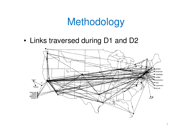#### Methodology

•Links traversed during D1 and D2

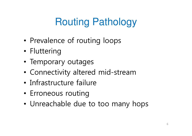# Routing Pathology

- •• Prevalence of routing loops
- •Fluttering
- Temporary outages
- •Connectivity altered mid-stream
- •Infrastructure failure
- •Erroneous routing
- •Unreachable due to too many hops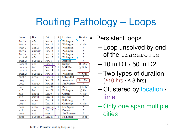# Routing Pathology – Loops

| Source  | Dest.   | Date           | #                | Location            | <b>Duration</b>           |  |
|---------|---------|----------------|------------------|---------------------|---------------------------|--|
| inria   | adv     | Nov. 6         | Washington<br>1  |                     | 9                         |  |
| inria   | near    | <b>Nov. 11</b> | 1                | Washington          | $<$ 3 hr                  |  |
| wustl   | inria   | Nov. 24        | 1                | Washington          |                           |  |
| inria   | pubnix  | Nov. 12        | 1                | Washington          |                           |  |
| inria   | austr2  | Nov. 15        | 1                | Washington          |                           |  |
| sintef1 | adv     | Nov. 12        | 1                | Washington          | 2                         |  |
| pubnix  | sintef1 | Nov. 8         | 1                | Anaheim             | 9                         |  |
| ustutt  | ucl     | Nov. 11        | 16               | Stuttgart           | $16-32$ hr                |  |
| connix  | bsdi    | Nov. 14        | 1                | <b>MAE-East</b>     | 10 <sub>hr</sub>          |  |
| ustutt  | austr   | Nov. 14        | 1                | same loop           |                           |  |
| pubnix  | sintef1 | Nov. 14        | 1                | Washington          | $<$ 5.5 hr                |  |
| austr   | nrao    | Nov. 15        | 1                | <b>College Park</b> | 2                         |  |
| many    | oce     | Nov. 23        | 12               | Amsterdam           | $14 - 17$ hr              |  |
| ucol    | ustutt  | Nov. 24        | 1                | San Francisco       |                           |  |
| ucol    | inria   | Nov. 27        | 1                | Paris               | $< 14$ hr                 |  |
| mid     | bsdi    | <b>Nov. 28</b> | 1                | Washington          | $<$ 3 hr                  |  |
| mid     | austr   | Dec. 6         | 1                | Chicago             | $<$ 3 hr                  |  |
| mit     | wustl   | Dec. 10        | 1                | St. Louis           | 2                         |  |
| umann   | nrao    | Dec. 13        | Ī                | Heidelberg          | $\overline{\mathcal{P}}$  |  |
| ucl     | mit     | Dec. 14        | Ī                | Cambridge           | $<$ 3 hr                  |  |
| near    | ucla    | Dec. 16        | 1                | <b>Los Angeles</b>  | $\overline{?}$            |  |
| sri     | near    | Dec. 17        | $\overline{1^*}$ | Palo Alto           | 2                         |  |
| near    | sri     | same           | $1^*$            | San Francisco       | 2                         |  |
| bsdi    | sintef1 | Dec. 21        |                  | NJ, London          | 10 <sup>hr</sup><br>$\,<$ |  |

Persistent loops

- Loop unsolved by end of the traceroute
- –10 in D1 / 50 in D2
- – Two types of duration (≥10 hrs /≤ 3 hrs)
- – Clustered by location / time
- – Only one span multiple cities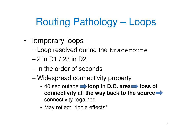# Routing Pathology – Loops

- • Temporary loops
	- –Loop resolved during the traceroute
	- –2 in D1 / 23 in D2
	- – $-$  In the order of seconds
	- – Widespread connectivity property
		- 40 sec outage **by loop in D.C. area by loss of connectivity all the way back to the source**connectivity regained
		- May reflect "ripple effects"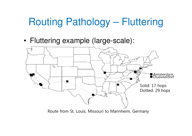#### Routing Pathology – Fluttering

•Fluttering example (large-scale):

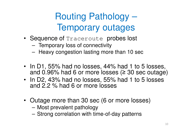#### Routing Pathology –Temporary outages

- Sequence of Traceroute probes lost
	- –Temporary loss of connectivity
	- –Heavy congestion lasting more than 10 sec
- In D1, 55% had no losses, 44% had 1 to 5 losses, and 0.96% had 6 or more losses (≥ 30 sec outage)
- In D2, 43% had no losses, 55% had 1 to 5 losses and 2.2 % had 6 or more losses
- Outage more than 30 sec (6 or more losses)
	- –Most prevalent pathology
	- –Strong correlation with time-of-day patterns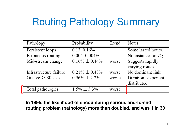# Routing Pathology Summary

| Pathology              | Probability           | Trend | Notes                             |  |  |
|------------------------|-----------------------|-------|-----------------------------------|--|--|
| Persistent loops       | $0.13 - 0.16\%$       |       | Some lasted hours.                |  |  |
| Erroneous routing      | $0.004 - 0.004\%$     |       | No instances in $\mathcal{D}_2$ . |  |  |
| Mid-stream change      | $0.16\% \perp 0.44\%$ | worse | Suggests rapidly                  |  |  |
|                        |                       |       | varying routes.                   |  |  |
| Infrastructure failure | $0.21\% \perp 0.48\%$ | worse | No dominant link.                 |  |  |
| Outage $\geq 30$ secs  | $0.96\% \perp 2.2\%$  | worse | Duration exponent.                |  |  |
|                        |                       |       | distributed.                      |  |  |
| Total pathologies      | $1.5\% \perp 3.3\%$   | worse |                                   |  |  |

**In 1995, the likelihood of encountering serious end-to-end routing problem (pathology) more than doubled, and was 1 in 30**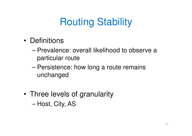# Routing Stability

- •**Definitions** 
	- – Prevalence: overall likelihood to observe a particular route
	- –- Persistence: how long a route remains unchanged
- • Three levels of granularity–Host, City, AS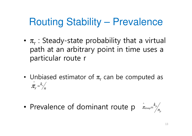# Routing Stability – Prevalence

- $\pi_r$  : Steady-state probability that a virtual path at an arbitrary point in time uses a particular route r
- •• Unbiased estimator of  $\pi_r$  can be computed as *nk r* $=$   $\frac{r}{4}$  $\mathcal{\overset{\wedge}{\pi}}$
- •• Prevalence of dominant route p  $\bar{x}_{\text{domp}} = \bar{k}_p / \bar{k}_p$  $p_{domp} = p \choose n$ ^ $\pi$

*k*=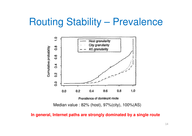#### Routing Stability – Prevalence



**In general, Internet paths are strongly dominated by a single route**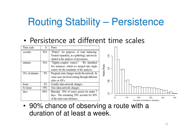### Routing Stability – Persistence

#### •Persistence at different time scales

| Time scale      | $\%$ | <b>Notes</b>                                    |                   |    |                             |    |    |    |
|-----------------|------|-------------------------------------------------|-------------------|----|-----------------------------|----|----|----|
| seconds         | N/A  | "Flutter" for purposes of load balancing.       |                   |    |                             |    |    |    |
|                 |      | Treated separately, as a pathology, and not in- | 쁑-                |    |                             |    |    |    |
|                 |      | cluded in the analysis of persistence.          |                   |    |                             |    |    |    |
| minutes         | N/A  | "Tightly-coupled routers." We identified        |                   |    |                             |    |    |    |
|                 |      | five instances, which we merged into single     |                   |    |                             |    |    |    |
|                 |      | routers for the remainder of the analysis.      | 융                 |    |                             |    |    |    |
| 10's of minutes | 9%   | Frequent route changes inside the network. In   | Faction of Routes |    |                             |    |    |    |
|                 |      | some cases involved routing through different   |                   |    |                             |    |    |    |
|                 |      | cities or AS's.                                 | క్షి              |    |                             |    |    |    |
| hours           | 4%   | Usually intra-network changes.                  |                   |    |                             |    |    |    |
| $6+ hours$      | 19%  | Also intra-network changes.                     |                   |    |                             |    |    |    |
| days            | 68%  | Bimodal. 50% of routes persist for under 7      | ខ                 |    |                             |    |    |    |
|                 |      | days. The remaining 50% account for 90%         |                   |    |                             |    |    |    |
|                 |      | of the total route lifetimes.                   |                   | 10 | 20<br>Route Duration (Days) | 30 | 40 | 50 |
|                 |      |                                                 |                   |    |                             |    |    |    |

• 90% chance of observing a route with a duration of at least a week.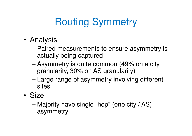# Routing Symmetry

- • Analysis
	- – Paired measurements to ensure asymmetry is actually being captured
	- – Asymmetry is quite common (49% on a city granularity, 30% on AS granularity)
	- – Large range of asymmetry involving different sites
- • Size
	- – Majority have single "hop" (one city / AS) asymmetry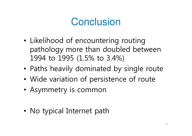### **Conclusion**

- • Likelihood of encountering routing pathology more than doubled between 1994 to 1995 (1.5% to 3.4%)
- •Paths heavily dominated by single route
- •Wide variation of persistence of route
- •Asymmetry is common
- •• No typical Internet path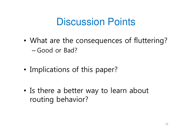#### Discussion Points

- • What are the consequences of fluttering?–Good or Bad?
- •• Implications of this paper?
- •• Is there a better way to learn about routing behavior?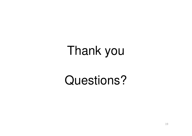# Thank you

# Questions?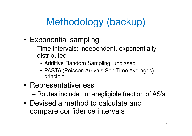# Methodology (backup)

- • Exponential sampling
	- – Time intervals: independent, exponentially distributed
		- Additive Random Sampling: unbiased
		- PASTA (Poisson Arrivals See Time Averages) principle
- •Representativeness

–Routes include non-negligible fraction of AS's

• Devised a method to calculate and compare confidence intervals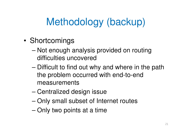# Methodology (backup)

- •**Shortcomings** 
	- – Not enough analysis provided on routing difficulties uncovered
	- –– Difficult to find out why and where in the path the problem occurred with end-to-end measurements
	- –Centralized design issue
	- –Only small subset of Internet routes
	- –Only two points at a time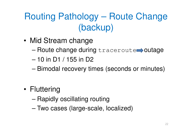#### Routing Pathology – Route Change(backup)

- • Mid Stream change
	- –Route change during traceroute outage
	- –10 in D1 / 155 in D2
	- –Bimodal recovery times (seconds or minutes)
- •**Fluttering** 
	- –Rapidly oscillating routing
	- –Two cases (large-scale, localized)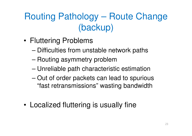#### Routing Pathology – Route Change (backup)

- • Fluttering Problems
	- –Difficulties from unstable network paths
	- –Routing asymmetry problem
	- –Unreliable path characteristic estimation
	- – Out of order packets can lead to spurious "fast retransmissions" wasting bandwidth
- •Localized fluttering is usually fine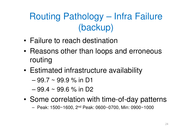#### Routing Pathology – Infra Failure(backup)

- •Failure to reach destination
- • Reasons other than loops and erroneous routing
- • Estimated infrastructure availability
	- –99.7 ~ 99.9 % in D1
	- –99.4 ~ 99.6 % in D2
- • Some correlation with time-of-day patterns
	- Peak: 1500~1600, 2nd Peak: 0600~0700, Min: 0900~1000